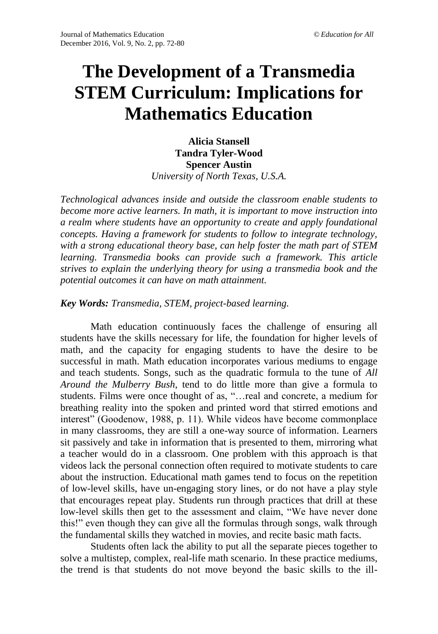# **The Development of a Transmedia STEM Curriculum: Implications for Mathematics Education**

**Alicia Stansell Tandra Tyler-Wood Spencer Austin** *University of North Texas, U.S.A.*

*Technological advances inside and outside the classroom enable students to become more active learners. In math, it is important to move instruction into a realm where students have an opportunity to create and apply foundational concepts. Having a framework for students to follow to integrate technology, with a strong educational theory base, can help foster the math part of STEM learning. Transmedia books can provide such a framework. This article strives to explain the underlying theory for using a transmedia book and the potential outcomes it can have on math attainment.*

# *Key Words: Transmedia, STEM, project-based learning.*

Math education continuously faces the challenge of ensuring all students have the skills necessary for life, the foundation for higher levels of math, and the capacity for engaging students to have the desire to be successful in math. Math education incorporates various mediums to engage and teach students. Songs, such as the quadratic formula to the tune of *All Around the Mulberry Bush*, tend to do little more than give a formula to students. Films were once thought of as, "…real and concrete, a medium for breathing reality into the spoken and printed word that stirred emotions and interest" (Goodenow, 1988, p. 11). While videos have become commonplace in many classrooms, they are still a one-way source of information. Learners sit passively and take in information that is presented to them, mirroring what a teacher would do in a classroom. One problem with this approach is that videos lack the personal connection often required to motivate students to care about the instruction. Educational math games tend to focus on the repetition of low-level skills, have un-engaging story lines, or do not have a play style that encourages repeat play. Students run through practices that drill at these low-level skills then get to the assessment and claim, "We have never done this!" even though they can give all the formulas through songs, walk through the fundamental skills they watched in movies, and recite basic math facts.

Students often lack the ability to put all the separate pieces together to solve a multistep, complex, real-life math scenario. In these practice mediums, the trend is that students do not move beyond the basic skills to the ill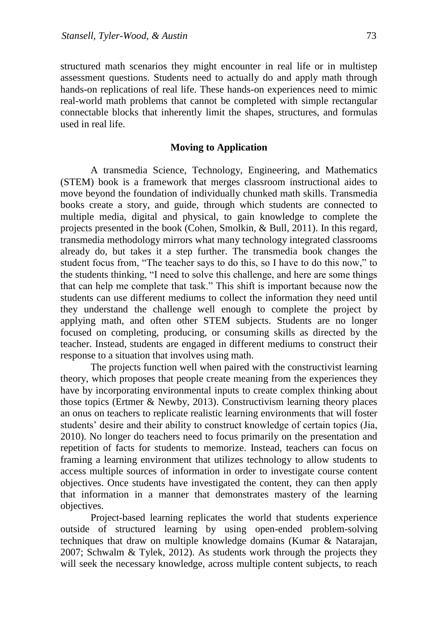structured math scenarios they might encounter in real life or in multistep assessment questions. Students need to actually do and apply math through hands-on replications of real life. These hands-on experiences need to mimic real-world math problems that cannot be completed with simple rectangular connectable blocks that inherently limit the shapes, structures, and formulas used in real life.

#### **Moving to Application**

A transmedia Science, Technology, Engineering, and Mathematics (STEM) book is a framework that merges classroom instructional aides to move beyond the foundation of individually chunked math skills. Transmedia books create a story, and guide, through which students are connected to multiple media, digital and physical, to gain knowledge to complete the projects presented in the book (Cohen, Smolkin, & Bull, 2011). In this regard, transmedia methodology mirrors what many technology integrated classrooms already do, but takes it a step further. The transmedia book changes the student focus from, "The teacher says to do this, so I have to do this now," to the students thinking, "I need to solve this challenge, and here are some things that can help me complete that task." This shift is important because now the students can use different mediums to collect the information they need until they understand the challenge well enough to complete the project by applying math, and often other STEM subjects. Students are no longer focused on completing, producing, or consuming skills as directed by the teacher. Instead, students are engaged in different mediums to construct their response to a situation that involves using math.

The projects function well when paired with the constructivist learning theory, which proposes that people create meaning from the experiences they have by incorporating environmental inputs to create complex thinking about those topics (Ertmer  $\&$  Newby, 2013). Constructivism learning theory places an onus on teachers to replicate realistic learning environments that will foster students' desire and their ability to construct knowledge of certain topics (Jia, 2010). No longer do teachers need to focus primarily on the presentation and repetition of facts for students to memorize. Instead, teachers can focus on framing a learning environment that utilizes technology to allow students to access multiple sources of information in order to investigate course content objectives. Once students have investigated the content, they can then apply that information in a manner that demonstrates mastery of the learning objectives.

Project-based learning replicates the world that students experience outside of structured learning by using open-ended problem-solving techniques that draw on multiple knowledge domains (Kumar & Natarajan, 2007; Schwalm & Tylek, 2012). As students work through the projects they will seek the necessary knowledge, across multiple content subjects, to reach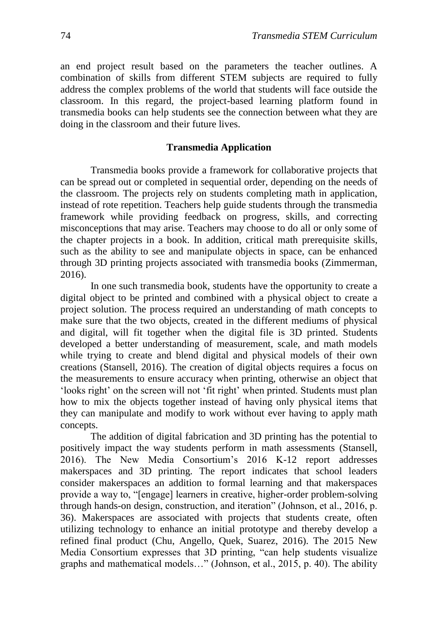an end project result based on the parameters the teacher outlines. A combination of skills from different STEM subjects are required to fully address the complex problems of the world that students will face outside the classroom. In this regard, the project-based learning platform found in transmedia books can help students see the connection between what they are doing in the classroom and their future lives.

## **Transmedia Application**

Transmedia books provide a framework for collaborative projects that can be spread out or completed in sequential order, depending on the needs of the classroom. The projects rely on students completing math in application, instead of rote repetition. Teachers help guide students through the transmedia framework while providing feedback on progress, skills, and correcting misconceptions that may arise. Teachers may choose to do all or only some of the chapter projects in a book. In addition, critical math prerequisite skills, such as the ability to see and manipulate objects in space, can be enhanced through 3D printing projects associated with transmedia books (Zimmerman, 2016).

In one such transmedia book, students have the opportunity to create a digital object to be printed and combined with a physical object to create a project solution. The process required an understanding of math concepts to make sure that the two objects, created in the different mediums of physical and digital, will fit together when the digital file is 3D printed. Students developed a better understanding of measurement, scale, and math models while trying to create and blend digital and physical models of their own creations (Stansell, 2016). The creation of digital objects requires a focus on the measurements to ensure accuracy when printing, otherwise an object that 'looks right' on the screen will not 'fit right' when printed. Students must plan how to mix the objects together instead of having only physical items that they can manipulate and modify to work without ever having to apply math concepts.

The addition of digital fabrication and 3D printing has the potential to positively impact the way students perform in math assessments (Stansell, 2016). The New Media Consortium's 2016 K-12 report addresses makerspaces and 3D printing. The report indicates that school leaders consider makerspaces an addition to formal learning and that makerspaces provide a way to, "[engage] learners in creative, higher-order problem-solving through hands-on design, construction, and iteration" (Johnson, et al., 2016, p. 36). Makerspaces are associated with projects that students create, often utilizing technology to enhance an initial prototype and thereby develop a refined final product (Chu, Angello, Quek, Suarez, 2016). The 2015 New Media Consortium expresses that 3D printing, "can help students visualize graphs and mathematical models…" (Johnson, et al., 2015, p. 40). The ability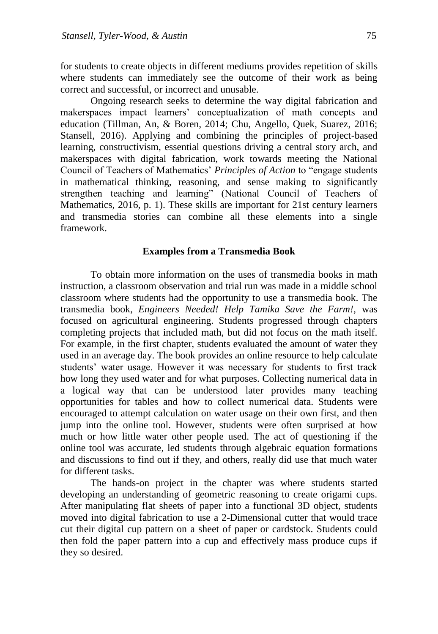for students to create objects in different mediums provides repetition of skills where students can immediately see the outcome of their work as being correct and successful, or incorrect and unusable.

Ongoing research seeks to determine the way digital fabrication and makerspaces impact learners' conceptualization of math concepts and education (Tillman, An, & Boren, 2014; Chu, Angello, Quek, Suarez, 2016; Stansell, 2016). Applying and combining the principles of project-based learning, constructivism, essential questions driving a central story arch, and makerspaces with digital fabrication, work towards meeting the National Council of Teachers of Mathematics' *Principles of Action* to "engage students in mathematical thinking, reasoning, and sense making to significantly strengthen teaching and learning" (National Council of Teachers of Mathematics, 2016, p. 1). These skills are important for 21st century learners and transmedia stories can combine all these elements into a single framework.

#### **Examples from a Transmedia Book**

To obtain more information on the uses of transmedia books in math instruction, a classroom observation and trial run was made in a middle school classroom where students had the opportunity to use a transmedia book. The transmedia book, *Engineers Needed! Help Tamika Save the Farm!,* was focused on agricultural engineering. Students progressed through chapters completing projects that included math, but did not focus on the math itself. For example, in the first chapter, students evaluated the amount of water they used in an average day. The book provides an online resource to help calculate students' water usage. However it was necessary for students to first track how long they used water and for what purposes. Collecting numerical data in a logical way that can be understood later provides many teaching opportunities for tables and how to collect numerical data. Students were encouraged to attempt calculation on water usage on their own first, and then jump into the online tool. However, students were often surprised at how much or how little water other people used. The act of questioning if the online tool was accurate, led students through algebraic equation formations and discussions to find out if they, and others, really did use that much water for different tasks.

The hands-on project in the chapter was where students started developing an understanding of geometric reasoning to create origami cups. After manipulating flat sheets of paper into a functional 3D object, students moved into digital fabrication to use a 2-Dimensional cutter that would trace cut their digital cup pattern on a sheet of paper or cardstock. Students could then fold the paper pattern into a cup and effectively mass produce cups if they so desired.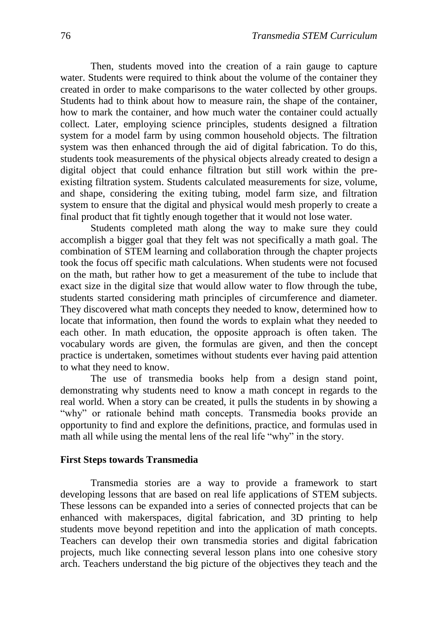Then, students moved into the creation of a rain gauge to capture water. Students were required to think about the volume of the container they created in order to make comparisons to the water collected by other groups. Students had to think about how to measure rain, the shape of the container, how to mark the container, and how much water the container could actually collect. Later, employing science principles, students designed a filtration system for a model farm by using common household objects. The filtration system was then enhanced through the aid of digital fabrication. To do this, students took measurements of the physical objects already created to design a digital object that could enhance filtration but still work within the preexisting filtration system. Students calculated measurements for size, volume, and shape, considering the exiting tubing, model farm size, and filtration system to ensure that the digital and physical would mesh properly to create a final product that fit tightly enough together that it would not lose water.

Students completed math along the way to make sure they could accomplish a bigger goal that they felt was not specifically a math goal. The combination of STEM learning and collaboration through the chapter projects took the focus off specific math calculations. When students were not focused on the math, but rather how to get a measurement of the tube to include that exact size in the digital size that would allow water to flow through the tube, students started considering math principles of circumference and diameter. They discovered what math concepts they needed to know, determined how to locate that information, then found the words to explain what they needed to each other. In math education, the opposite approach is often taken. The vocabulary words are given, the formulas are given, and then the concept practice is undertaken, sometimes without students ever having paid attention to what they need to know.

The use of transmedia books help from a design stand point, demonstrating why students need to know a math concept in regards to the real world. When a story can be created, it pulls the students in by showing a "why" or rationale behind math concepts. Transmedia books provide an opportunity to find and explore the definitions, practice, and formulas used in math all while using the mental lens of the real life "why" in the story.

#### **First Steps towards Transmedia**

Transmedia stories are a way to provide a framework to start developing lessons that are based on real life applications of STEM subjects. These lessons can be expanded into a series of connected projects that can be enhanced with makerspaces, digital fabrication, and 3D printing to help students move beyond repetition and into the application of math concepts. Teachers can develop their own transmedia stories and digital fabrication projects, much like connecting several lesson plans into one cohesive story arch. Teachers understand the big picture of the objectives they teach and the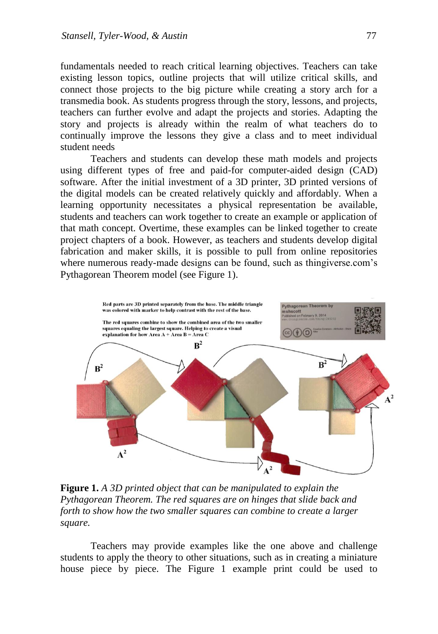fundamentals needed to reach critical learning objectives. Teachers can take existing lesson topics, outline projects that will utilize critical skills, and connect those projects to the big picture while creating a story arch for a transmedia book. As students progress through the story, lessons, and projects, teachers can further evolve and adapt the projects and stories. Adapting the story and projects is already within the realm of what teachers do to continually improve the lessons they give a class and to meet individual student needs

Teachers and students can develop these math models and projects using different types of free and paid-for computer-aided design (CAD) software. After the initial investment of a 3D printer, 3D printed versions of the digital models can be created relatively quickly and affordably. When a learning opportunity necessitates a physical representation be available, students and teachers can work together to create an example or application of that math concept. Overtime, these examples can be linked together to create project chapters of a book. However, as teachers and students develop digital fabrication and maker skills, it is possible to pull from online repositories where numerous ready-made designs can be found, such as thingiverse.com's Pythagorean Theorem model (see Figure 1).



**Figure 1.** *A 3D printed object that can be manipulated to explain the Pythagorean Theorem. The red squares are on hinges that slide back and forth to show how the two smaller squares can combine to create a larger square.*

Teachers may provide examples like the one above and challenge students to apply the theory to other situations, such as in creating a miniature house piece by piece. The Figure 1 example print could be used to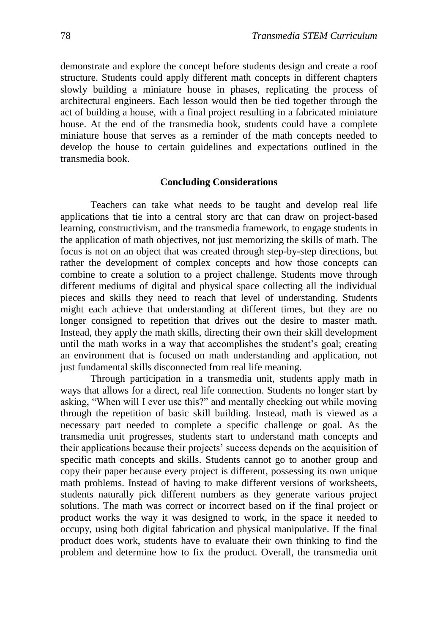demonstrate and explore the concept before students design and create a roof structure. Students could apply different math concepts in different chapters slowly building a miniature house in phases, replicating the process of architectural engineers. Each lesson would then be tied together through the act of building a house, with a final project resulting in a fabricated miniature house. At the end of the transmedia book, students could have a complete miniature house that serves as a reminder of the math concepts needed to develop the house to certain guidelines and expectations outlined in the transmedia book.

#### **Concluding Considerations**

Teachers can take what needs to be taught and develop real life applications that tie into a central story arc that can draw on project-based learning, constructivism, and the transmedia framework, to engage students in the application of math objectives, not just memorizing the skills of math. The focus is not on an object that was created through step-by-step directions, but rather the development of complex concepts and how those concepts can combine to create a solution to a project challenge. Students move through different mediums of digital and physical space collecting all the individual pieces and skills they need to reach that level of understanding. Students might each achieve that understanding at different times, but they are no longer consigned to repetition that drives out the desire to master math. Instead, they apply the math skills, directing their own their skill development until the math works in a way that accomplishes the student's goal; creating an environment that is focused on math understanding and application, not just fundamental skills disconnected from real life meaning.

Through participation in a transmedia unit, students apply math in ways that allows for a direct, real life connection. Students no longer start by asking, "When will I ever use this?" and mentally checking out while moving through the repetition of basic skill building. Instead, math is viewed as a necessary part needed to complete a specific challenge or goal. As the transmedia unit progresses, students start to understand math concepts and their applications because their projects' success depends on the acquisition of specific math concepts and skills. Students cannot go to another group and copy their paper because every project is different, possessing its own unique math problems. Instead of having to make different versions of worksheets, students naturally pick different numbers as they generate various project solutions. The math was correct or incorrect based on if the final project or product works the way it was designed to work, in the space it needed to occupy, using both digital fabrication and physical manipulative. If the final product does work, students have to evaluate their own thinking to find the problem and determine how to fix the product. Overall, the transmedia unit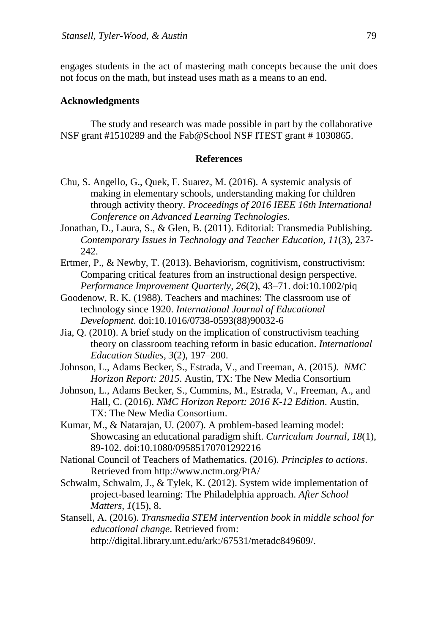engages students in the act of mastering math concepts because the unit does not focus on the math, but instead uses math as a means to an end.

## **Acknowledgments**

The study and research was made possible in part by the collaborative NSF grant #1510289 and the Fab@School NSF ITEST grant # 1030865.

## **References**

- Chu, S. Angello, G., Quek, F. Suarez, M. (2016). A systemic analysis of making in elementary schools, understanding making for children through activity theory. *Proceedings of 2016 IEEE 16th International Conference on Advanced Learning Technologies*.
- Jonathan, D., Laura, S., & Glen, B. (2011). Editorial: Transmedia Publishing. *Contemporary Issues in Technology and Teacher Education, 11*(3), 237- 242.
- Ertmer, P., & Newby, T. (2013). Behaviorism, cognitivism, constructivism: Comparing critical features from an instructional design perspective. *Performance Improvement Quarterly, 26*(2), 43–71. doi:10.1002/piq
- Goodenow, R. K. (1988). Teachers and machines: The classroom use of technology since 1920. *International Journal of Educational Development*. doi:10.1016/0738-0593(88)90032-6
- Jia, Q. (2010). A brief study on the implication of constructivism teaching theory on classroom teaching reform in basic education. *International Education Studies, 3*(2), 197–200.
- Johnson, L., Adams Becker, S., Estrada, V., and Freeman, A. (2015*). NMC Horizon Report: 2015*. Austin, TX: The New Media Consortium
- Johnson, L., Adams Becker, S., Cummins, M., Estrada, V., Freeman, A., and Hall, C. (2016). *NMC Horizon Report: 2016 K-12 Edition*. Austin, TX: The New Media Consortium.
- Kumar, M., & Natarajan, U. (2007). A problem-based learning model: Showcasing an educational paradigm shift. *Curriculum Journal, 18*(1), 89-102. doi:10.1080/09585170701292216
- National Council of Teachers of Mathematics. (2016). *Principles to actions*. Retrieved from http://www.nctm.org/PtA/
- Schwalm, Schwalm, J., & Tylek, K. (2012). System wide implementation of project-based learning: The Philadelphia approach. *After School Matters, 1*(15), 8.
- Stansell, A. (2016). *Transmedia STEM intervention book in middle school for educational change*. Retrieved from: http://digital.library.unt.edu/ark:/67531/metadc849609/.